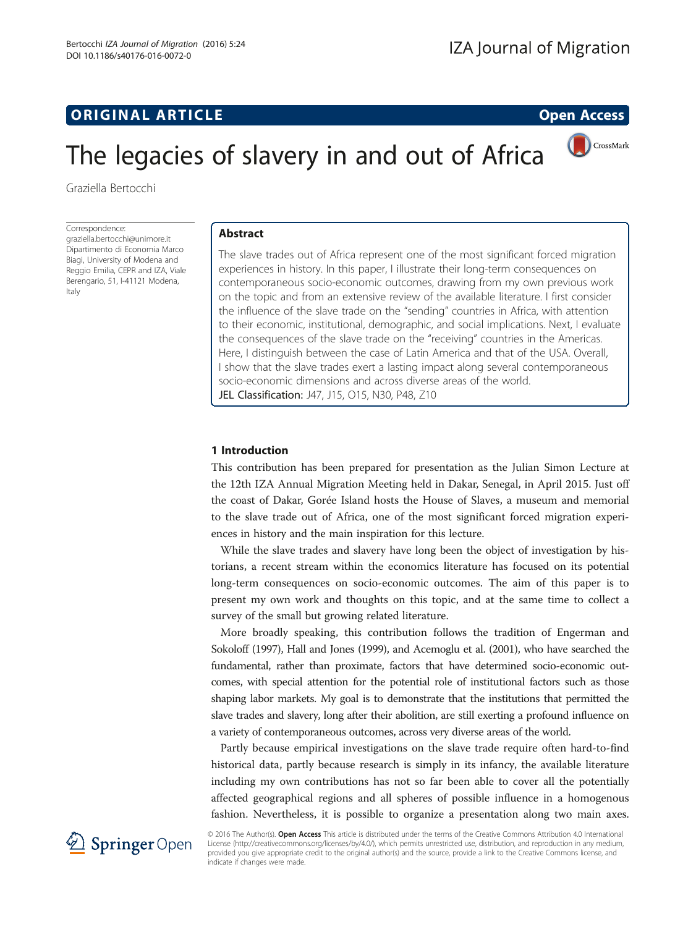# **ORIGINAL ARTICLE CONSERVANCE CONSERVANCE CONSERVANCE CONSERVANCE CONSERVANCE CONSERVANCE CONSERVANCE CONSERVANCE**



CrossMark

# The legacies of slavery in and out of Africa

Graziella Bertocchi

Correspondence: [graziella.bertocchi@unimore.it](mailto:graziella.bertocchi@unimore.it) Dipartimento di Economia Marco Biagi, University of Modena and Reggio Emilia, CEPR and IZA, Viale Berengario, 51, I-41121 Modena, Italy

## Abstract

The slave trades out of Africa represent one of the most significant forced migration experiences in history. In this paper, I illustrate their long-term consequences on contemporaneous socio-economic outcomes, drawing from my own previous work on the topic and from an extensive review of the available literature. I first consider the influence of the slave trade on the "sending" countries in Africa, with attention to their economic, institutional, demographic, and social implications. Next, I evaluate the consequences of the slave trade on the "receiving" countries in the Americas. Here, I distinguish between the case of Latin America and that of the USA. Overall, I show that the slave trades exert a lasting impact along several contemporaneous socio-economic dimensions and across diverse areas of the world. JEL Classification: J47, J15, O15, N30, P48, Z10

# 1 Introduction

This contribution has been prepared for presentation as the Julian Simon Lecture at the 12th IZA Annual Migration Meeting held in Dakar, Senegal, in April 2015. Just off the coast of Dakar, Gorée Island hosts the House of Slaves, a museum and memorial to the slave trade out of Africa, one of the most significant forced migration experiences in history and the main inspiration for this lecture.

While the slave trades and slavery have long been the object of investigation by historians, a recent stream within the economics literature has focused on its potential long-term consequences on socio-economic outcomes. The aim of this paper is to present my own work and thoughts on this topic, and at the same time to collect a survey of the small but growing related literature.

More broadly speaking, this contribution follows the tradition of Engerman and Sokoloff ([1997\)](#page-17-0), Hall and Jones [\(1999](#page-17-0)), and Acemoglu et al. ([2001](#page-16-0)), who have searched the fundamental, rather than proximate, factors that have determined socio-economic outcomes, with special attention for the potential role of institutional factors such as those shaping labor markets. My goal is to demonstrate that the institutions that permitted the slave trades and slavery, long after their abolition, are still exerting a profound influence on a variety of contemporaneous outcomes, across very diverse areas of the world.

Partly because empirical investigations on the slave trade require often hard-to-find historical data, partly because research is simply in its infancy, the available literature including my own contributions has not so far been able to cover all the potentially affected geographical regions and all spheres of possible influence in a homogenous fashion. Nevertheless, it is possible to organize a presentation along two main axes.



© 2016 The Author(s). Open Access This article is distributed under the terms of the Creative Commons Attribution 4.0 International License [\(http://creativecommons.org/licenses/by/4.0/](http://creativecommons.org/licenses/by/4.0/)), which permits unrestricted use, distribution, and reproduction in any medium, provided you give appropriate credit to the original author(s) and the source, provide a link to the Creative Commons license, and indicate if changes were made.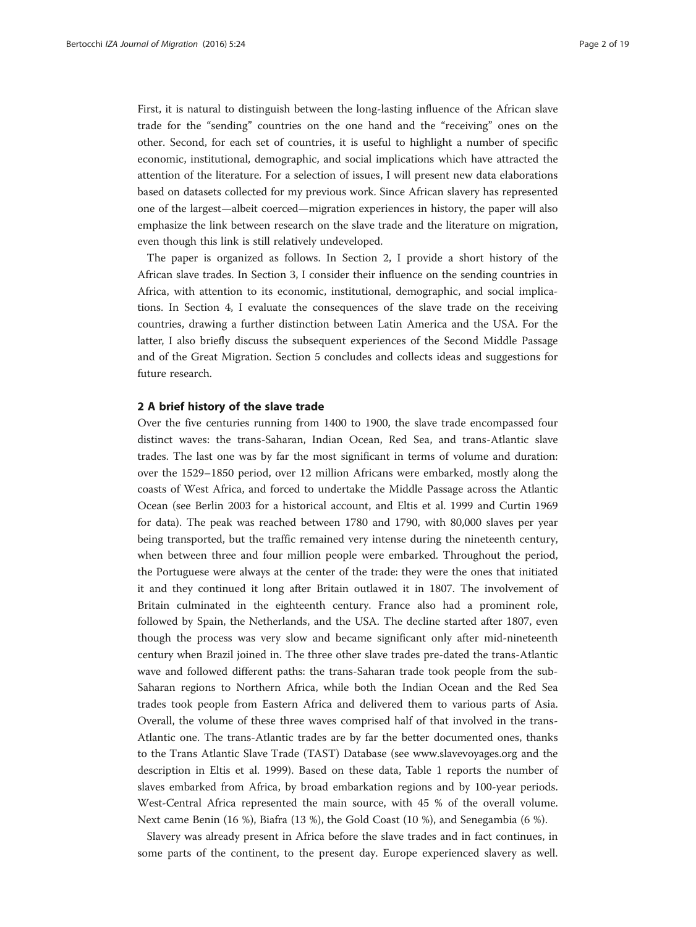First, it is natural to distinguish between the long-lasting influence of the African slave trade for the "sending" countries on the one hand and the "receiving" ones on the other. Second, for each set of countries, it is useful to highlight a number of specific economic, institutional, demographic, and social implications which have attracted the attention of the literature. For a selection of issues, I will present new data elaborations based on datasets collected for my previous work. Since African slavery has represented one of the largest—albeit coerced—migration experiences in history, the paper will also emphasize the link between research on the slave trade and the literature on migration, even though this link is still relatively undeveloped.

The paper is organized as follows. In Section 2, I provide a short history of the African slave trades. In Section [3](#page-2-0), I consider their influence on the sending countries in Africa, with attention to its economic, institutional, demographic, and social implications. In Section [4,](#page-8-0) I evaluate the consequences of the slave trade on the receiving countries, drawing a further distinction between Latin America and the USA. For the latter, I also briefly discuss the subsequent experiences of the Second Middle Passage and of the Great Migration. Section [5](#page-15-0) concludes and collects ideas and suggestions for future research.

#### 2 A brief history of the slave trade

Over the five centuries running from 1400 to 1900, the slave trade encompassed four distinct waves: the trans-Saharan, Indian Ocean, Red Sea, and trans-Atlantic slave trades. The last one was by far the most significant in terms of volume and duration: over the 1529–1850 period, over 12 million Africans were embarked, mostly along the coasts of West Africa, and forced to undertake the Middle Passage across the Atlantic Ocean (see Berlin [2003](#page-16-0) for a historical account, and Eltis et al. [1999](#page-16-0) and Curtin [1969](#page-16-0) for data). The peak was reached between 1780 and 1790, with 80,000 slaves per year being transported, but the traffic remained very intense during the nineteenth century, when between three and four million people were embarked. Throughout the period, the Portuguese were always at the center of the trade: they were the ones that initiated it and they continued it long after Britain outlawed it in 1807. The involvement of Britain culminated in the eighteenth century. France also had a prominent role, followed by Spain, the Netherlands, and the USA. The decline started after 1807, even though the process was very slow and became significant only after mid-nineteenth century when Brazil joined in. The three other slave trades pre-dated the trans-Atlantic wave and followed different paths: the trans-Saharan trade took people from the sub-Saharan regions to Northern Africa, while both the Indian Ocean and the Red Sea trades took people from Eastern Africa and delivered them to various parts of Asia. Overall, the volume of these three waves comprised half of that involved in the trans-Atlantic one. The trans-Atlantic trades are by far the better documented ones, thanks to the Trans Atlantic Slave Trade (TAST) Database (see [www.slavevoyages.org](http://www.slavevoyages.org) and the description in Eltis et al. [1999](#page-16-0)). Based on these data, Table [1](#page-2-0) reports the number of slaves embarked from Africa, by broad embarkation regions and by 100-year periods. West-Central Africa represented the main source, with 45 % of the overall volume. Next came Benin (16 %), Biafra (13 %), the Gold Coast (10 %), and Senegambia (6 %).

Slavery was already present in Africa before the slave trades and in fact continues, in some parts of the continent, to the present day. Europe experienced slavery as well.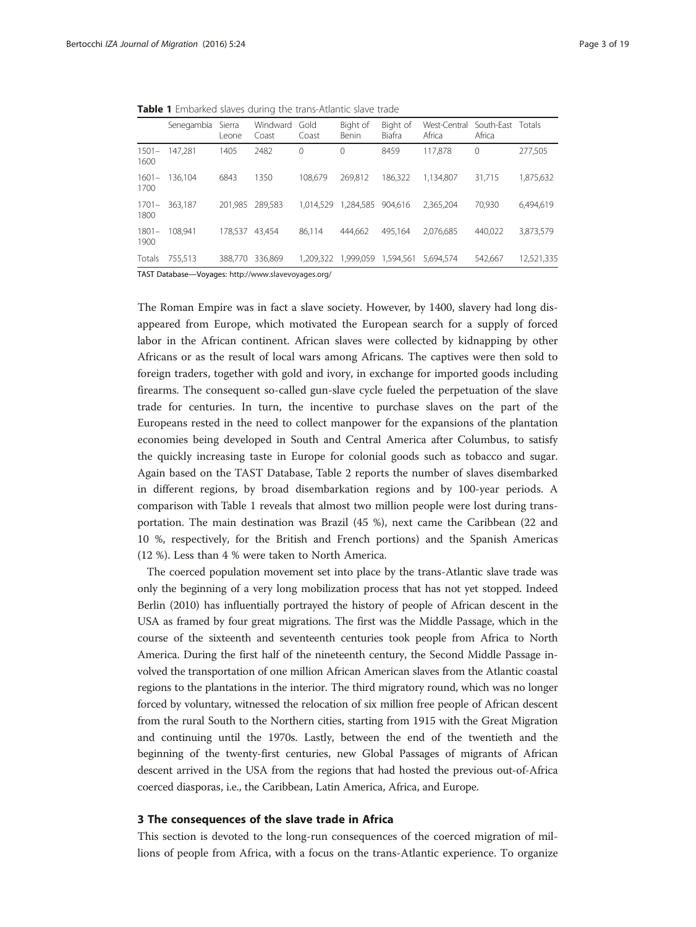<span id="page-2-0"></span>Table 1 Embarked slaves during the trans-Atlantic slave trade

|                  | Senegambia | Sierra<br>Leone | Windward<br>Coast | Gold<br>Coast | Bight of<br>Benin | Bight of<br>Biafra | West-Central<br>Africa | South-East Totals<br>Africa |            |
|------------------|------------|-----------------|-------------------|---------------|-------------------|--------------------|------------------------|-----------------------------|------------|
| $1501 -$<br>1600 | 147.281    | 1405            | 2482              | 0             | 0                 | 8459               | 117.878                | 0                           | 277,505    |
| $1601 -$<br>1700 | 136.104    | 6843            | 1350              | 108.679       | 269.812           | 186.322            | 1,134,807              | 31,715                      | 1,875,632  |
| $1701 -$<br>1800 | 363,187    | 201.985         | 289.583           | 1.014.529     | 1.284.585         | 904.616            | 2.365.204              | 70.930                      | 6,494,619  |
| $1801 -$<br>1900 | 108.941    | 178.537         | 43.454            | 86.114        | 444.662           | 495.164            | 2.076.685              | 440.022                     | 3,873,579  |
| Totals           | 755.513    | 388.770         | 336.869           | 1.209.322     | 1.999.059         | 1.594.561          | 5.694.574              | 542.667                     | 12,521,335 |

TAST Database—Voyages: <http://www.slavevoyages.org/>

The Roman Empire was in fact a slave society. However, by 1400, slavery had long disappeared from Europe, which motivated the European search for a supply of forced labor in the African continent. African slaves were collected by kidnapping by other Africans or as the result of local wars among Africans. The captives were then sold to foreign traders, together with gold and ivory, in exchange for imported goods including firearms. The consequent so-called gun-slave cycle fueled the perpetuation of the slave trade for centuries. In turn, the incentive to purchase slaves on the part of the Europeans rested in the need to collect manpower for the expansions of the plantation economies being developed in South and Central America after Columbus, to satisfy the quickly increasing taste in Europe for colonial goods such as tobacco and sugar. Again based on the TAST Database, Table [2](#page-3-0) reports the number of slaves disembarked in different regions, by broad disembarkation regions and by 100-year periods. A comparison with Table 1 reveals that almost two million people were lost during transportation. The main destination was Brazil (45 %), next came the Caribbean (22 and 10 %, respectively, for the British and French portions) and the Spanish Americas (12 %). Less than 4 % were taken to North America.

The coerced population movement set into place by the trans-Atlantic slave trade was only the beginning of a very long mobilization process that has not yet stopped. Indeed Berlin [\(2010\)](#page-16-0) has influentially portrayed the history of people of African descent in the USA as framed by four great migrations. The first was the Middle Passage, which in the course of the sixteenth and seventeenth centuries took people from Africa to North America. During the first half of the nineteenth century, the Second Middle Passage involved the transportation of one million African American slaves from the Atlantic coastal regions to the plantations in the interior. The third migratory round, which was no longer forced by voluntary, witnessed the relocation of six million free people of African descent from the rural South to the Northern cities, starting from 1915 with the Great Migration and continuing until the 1970s. Lastly, between the end of the twentieth and the beginning of the twenty-first centuries, new Global Passages of migrants of African descent arrived in the USA from the regions that had hosted the previous out-of-Africa coerced diasporas, i.e., the Caribbean, Latin America, Africa, and Europe.

#### 3 The consequences of the slave trade in Africa

This section is devoted to the long-run consequences of the coerced migration of millions of people from Africa, with a focus on the trans-Atlantic experience. To organize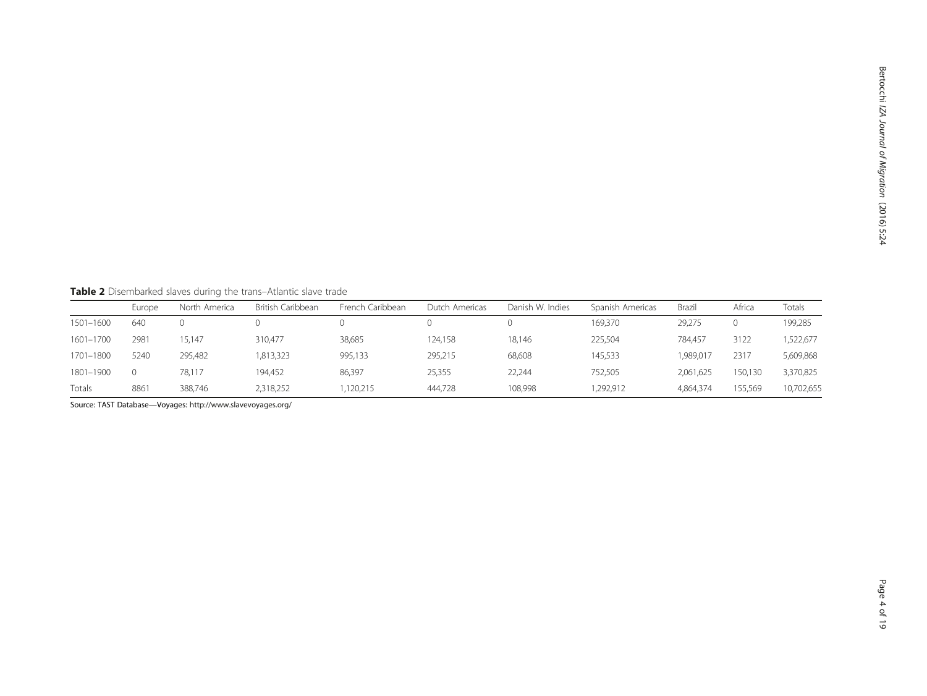<span id="page-3-0"></span>Table 2 Disembarked slaves during the trans-Atlantic slave trade

|           | Europe | North America | British Caribbean | French Caribbean | Dutch Americas | Danish W. Indies | Spanish Americas | Brazil    | Africa  | Totals     |
|-----------|--------|---------------|-------------------|------------------|----------------|------------------|------------------|-----------|---------|------------|
| 1501-1600 | 640    |               |                   |                  |                |                  | 169,370          | 29,275    |         | 199,285    |
| 1601-1700 | 2981   | 15.147        | 310.477           | 38,685           | 124.158        | 18.146           | 225,504          | 784.457   | 3122    | 1,522,677  |
| 1701-1800 | 5240   | 295,482       | 1,813,323         | 995,133          | 295,215        | 68,608           | 145,533          | ,989,017  | 2317    | 5,609,868  |
| 1801-1900 |        | 78.117        | 194.452           | 86.397           | 25,355         | 22,244           | 752.505          | 2,061,625 | 150,130 | 3,370,825  |
| Totals    | 8861   | 388.746       | 2,318,252         | ,120,215         | 444,728        | 108,998          | ,292,912         | 4,864,374 | 155,569 | 10,702,655 |

Source: TAST Database—Voyages: <http://www.slavevoyages.org/>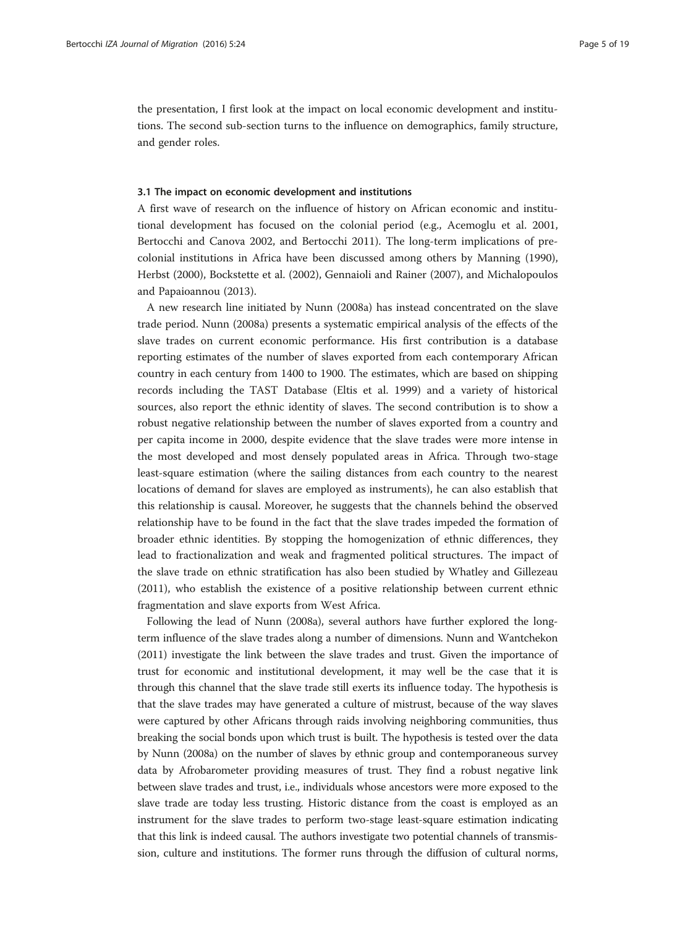the presentation, I first look at the impact on local economic development and institutions. The second sub-section turns to the influence on demographics, family structure, and gender roles.

### 3.1 The impact on economic development and institutions

A first wave of research on the influence of history on African economic and institutional development has focused on the colonial period (e.g., Acemoglu et al. [2001](#page-16-0), Bertocchi and Canova [2002](#page-16-0), and Bertocchi [2011\)](#page-16-0). The long-term implications of precolonial institutions in Africa have been discussed among others by Manning ([1990](#page-17-0)), Herbst [\(2000](#page-17-0)), Bockstette et al. [\(2002\)](#page-16-0), Gennaioli and Rainer [\(2007\)](#page-17-0), and Michalopoulos and Papaioannou ([2013](#page-17-0)).

A new research line initiated by Nunn ([2008a\)](#page-17-0) has instead concentrated on the slave trade period. Nunn ([2008a\)](#page-17-0) presents a systematic empirical analysis of the effects of the slave trades on current economic performance. His first contribution is a database reporting estimates of the number of slaves exported from each contemporary African country in each century from 1400 to 1900. The estimates, which are based on shipping records including the TAST Database (Eltis et al. [1999](#page-16-0)) and a variety of historical sources, also report the ethnic identity of slaves. The second contribution is to show a robust negative relationship between the number of slaves exported from a country and per capita income in 2000, despite evidence that the slave trades were more intense in the most developed and most densely populated areas in Africa. Through two-stage least-square estimation (where the sailing distances from each country to the nearest locations of demand for slaves are employed as instruments), he can also establish that this relationship is causal. Moreover, he suggests that the channels behind the observed relationship have to be found in the fact that the slave trades impeded the formation of broader ethnic identities. By stopping the homogenization of ethnic differences, they lead to fractionalization and weak and fragmented political structures. The impact of the slave trade on ethnic stratification has also been studied by Whatley and Gillezeau ([2011](#page-18-0)), who establish the existence of a positive relationship between current ethnic fragmentation and slave exports from West Africa.

Following the lead of Nunn [\(2008a](#page-17-0)), several authors have further explored the longterm influence of the slave trades along a number of dimensions. Nunn and Wantchekon ([2011\)](#page-17-0) investigate the link between the slave trades and trust. Given the importance of trust for economic and institutional development, it may well be the case that it is through this channel that the slave trade still exerts its influence today. The hypothesis is that the slave trades may have generated a culture of mistrust, because of the way slaves were captured by other Africans through raids involving neighboring communities, thus breaking the social bonds upon which trust is built. The hypothesis is tested over the data by Nunn ([2008a](#page-17-0)) on the number of slaves by ethnic group and contemporaneous survey data by Afrobarometer providing measures of trust. They find a robust negative link between slave trades and trust, i.e., individuals whose ancestors were more exposed to the slave trade are today less trusting. Historic distance from the coast is employed as an instrument for the slave trades to perform two-stage least-square estimation indicating that this link is indeed causal. The authors investigate two potential channels of transmission, culture and institutions. The former runs through the diffusion of cultural norms,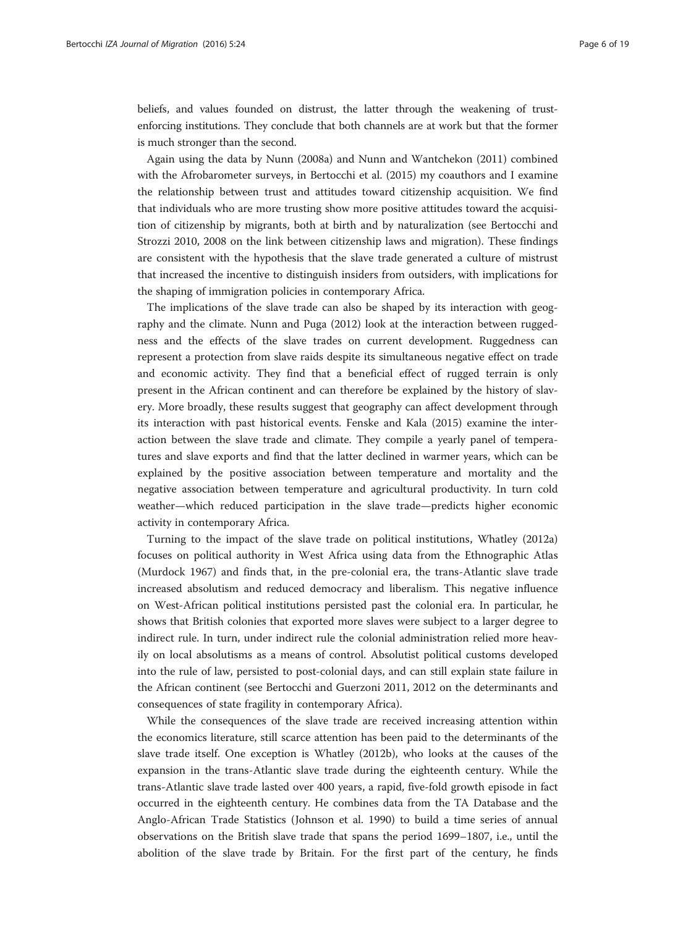beliefs, and values founded on distrust, the latter through the weakening of trustenforcing institutions. They conclude that both channels are at work but that the former is much stronger than the second.

Again using the data by Nunn ([2008a\)](#page-17-0) and Nunn and Wantchekon [\(2011\)](#page-17-0) combined with the Afrobarometer surveys, in Bertocchi et al. ([2015](#page-16-0)) my coauthors and I examine the relationship between trust and attitudes toward citizenship acquisition. We find that individuals who are more trusting show more positive attitudes toward the acquisition of citizenship by migrants, both at birth and by naturalization (see Bertocchi and Strozzi [2010, 2008](#page-16-0) on the link between citizenship laws and migration). These findings are consistent with the hypothesis that the slave trade generated a culture of mistrust that increased the incentive to distinguish insiders from outsiders, with implications for the shaping of immigration policies in contemporary Africa.

The implications of the slave trade can also be shaped by its interaction with geography and the climate. Nunn and Puga [\(2012\)](#page-17-0) look at the interaction between ruggedness and the effects of the slave trades on current development. Ruggedness can represent a protection from slave raids despite its simultaneous negative effect on trade and economic activity. They find that a beneficial effect of rugged terrain is only present in the African continent and can therefore be explained by the history of slavery. More broadly, these results suggest that geography can affect development through its interaction with past historical events. Fenske and Kala ([2015](#page-17-0)) examine the interaction between the slave trade and climate. They compile a yearly panel of temperatures and slave exports and find that the latter declined in warmer years, which can be explained by the positive association between temperature and mortality and the negative association between temperature and agricultural productivity. In turn cold weather—which reduced participation in the slave trade—predicts higher economic activity in contemporary Africa.

Turning to the impact of the slave trade on political institutions, Whatley [\(2012a](#page-18-0)) focuses on political authority in West Africa using data from the Ethnographic Atlas (Murdock [1967](#page-17-0)) and finds that, in the pre-colonial era, the trans-Atlantic slave trade increased absolutism and reduced democracy and liberalism. This negative influence on West-African political institutions persisted past the colonial era. In particular, he shows that British colonies that exported more slaves were subject to a larger degree to indirect rule. In turn, under indirect rule the colonial administration relied more heavily on local absolutisms as a means of control. Absolutist political customs developed into the rule of law, persisted to post-colonial days, and can still explain state failure in the African continent (see Bertocchi and Guerzoni [2011](#page-16-0), [2012](#page-16-0) on the determinants and consequences of state fragility in contemporary Africa).

While the consequences of the slave trade are received increasing attention within the economics literature, still scarce attention has been paid to the determinants of the slave trade itself. One exception is Whatley ([2012b](#page-18-0)), who looks at the causes of the expansion in the trans-Atlantic slave trade during the eighteenth century. While the trans-Atlantic slave trade lasted over 400 years, a rapid, five-fold growth episode in fact occurred in the eighteenth century. He combines data from the TA Database and the Anglo-African Trade Statistics (Johnson et al. [1990](#page-17-0)) to build a time series of annual observations on the British slave trade that spans the period 1699–1807, i.e., until the abolition of the slave trade by Britain. For the first part of the century, he finds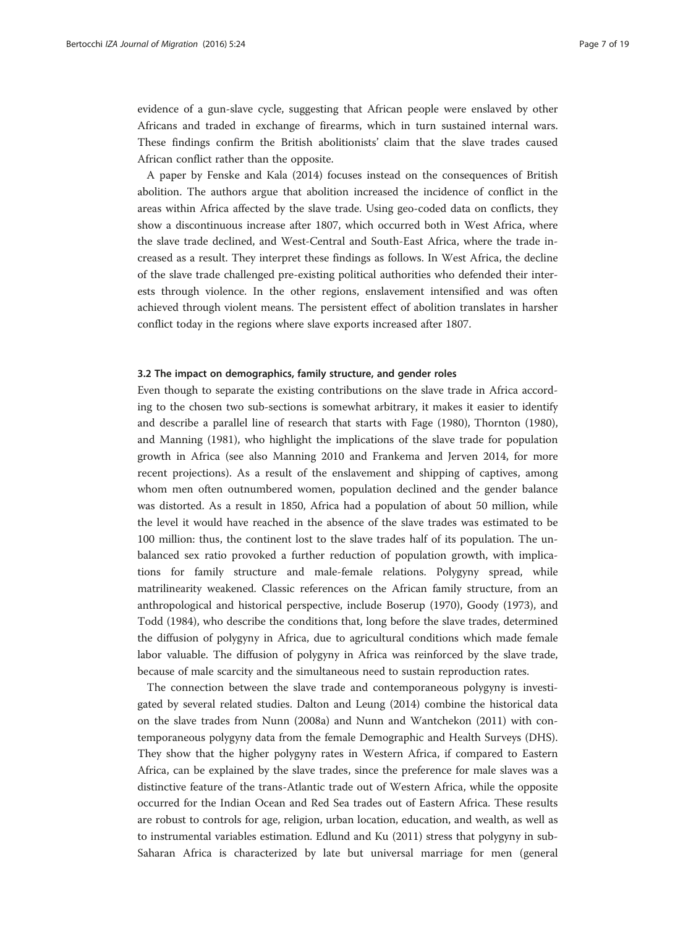evidence of a gun-slave cycle, suggesting that African people were enslaved by other Africans and traded in exchange of firearms, which in turn sustained internal wars. These findings confirm the British abolitionists' claim that the slave trades caused African conflict rather than the opposite.

A paper by Fenske and Kala [\(2014](#page-17-0)) focuses instead on the consequences of British abolition. The authors argue that abolition increased the incidence of conflict in the areas within Africa affected by the slave trade. Using geo-coded data on conflicts, they show a discontinuous increase after 1807, which occurred both in West Africa, where the slave trade declined, and West-Central and South-East Africa, where the trade increased as a result. They interpret these findings as follows. In West Africa, the decline of the slave trade challenged pre-existing political authorities who defended their interests through violence. In the other regions, enslavement intensified and was often achieved through violent means. The persistent effect of abolition translates in harsher conflict today in the regions where slave exports increased after 1807.

#### 3.2 The impact on demographics, family structure, and gender roles

Even though to separate the existing contributions on the slave trade in Africa according to the chosen two sub-sections is somewhat arbitrary, it makes it easier to identify and describe a parallel line of research that starts with Fage ([1980](#page-17-0)), Thornton ([1980](#page-18-0)), and Manning ([1981](#page-17-0)), who highlight the implications of the slave trade for population growth in Africa (see also Manning [2010](#page-17-0) and Frankema and Jerven [2014](#page-17-0), for more recent projections). As a result of the enslavement and shipping of captives, among whom men often outnumbered women, population declined and the gender balance was distorted. As a result in 1850, Africa had a population of about 50 million, while the level it would have reached in the absence of the slave trades was estimated to be 100 million: thus, the continent lost to the slave trades half of its population. The unbalanced sex ratio provoked a further reduction of population growth, with implications for family structure and male-female relations. Polygyny spread, while matrilinearity weakened. Classic references on the African family structure, from an anthropological and historical perspective, include Boserup [\(1970\)](#page-16-0), Goody ([1973](#page-17-0)), and Todd ([1984](#page-18-0)), who describe the conditions that, long before the slave trades, determined the diffusion of polygyny in Africa, due to agricultural conditions which made female labor valuable. The diffusion of polygyny in Africa was reinforced by the slave trade, because of male scarcity and the simultaneous need to sustain reproduction rates.

The connection between the slave trade and contemporaneous polygyny is investigated by several related studies. Dalton and Leung ([2014](#page-16-0)) combine the historical data on the slave trades from Nunn ([2008a](#page-17-0)) and Nunn and Wantchekon ([2011](#page-17-0)) with contemporaneous polygyny data from the female Demographic and Health Surveys (DHS). They show that the higher polygyny rates in Western Africa, if compared to Eastern Africa, can be explained by the slave trades, since the preference for male slaves was a distinctive feature of the trans-Atlantic trade out of Western Africa, while the opposite occurred for the Indian Ocean and Red Sea trades out of Eastern Africa. These results are robust to controls for age, religion, urban location, education, and wealth, as well as to instrumental variables estimation. Edlund and Ku ([2011\)](#page-16-0) stress that polygyny in sub-Saharan Africa is characterized by late but universal marriage for men (general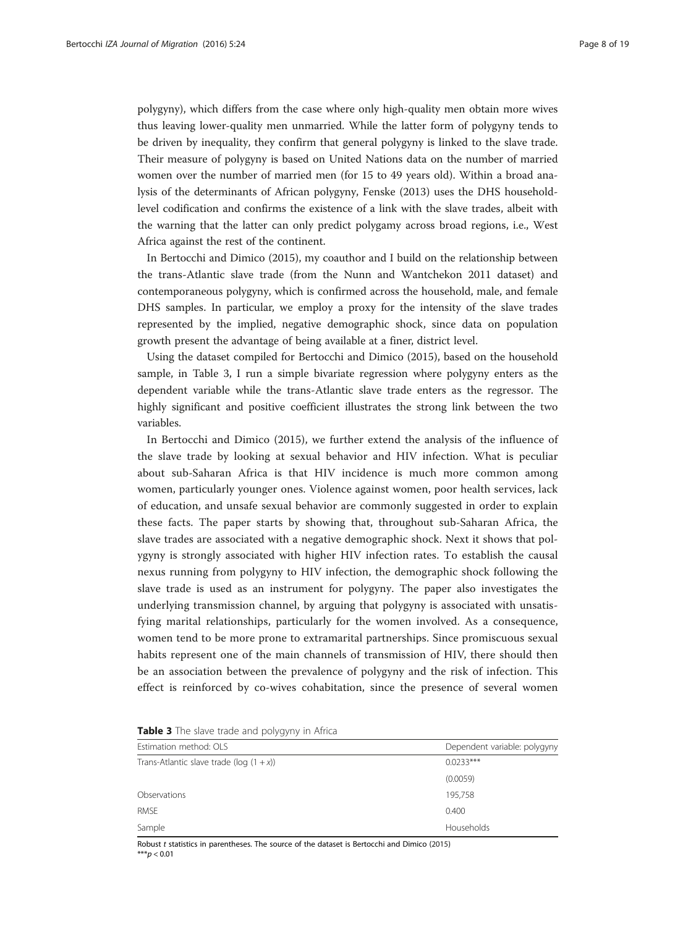polygyny), which differs from the case where only high-quality men obtain more wives thus leaving lower-quality men unmarried. While the latter form of polygyny tends to be driven by inequality, they confirm that general polygyny is linked to the slave trade. Their measure of polygyny is based on United Nations data on the number of married women over the number of married men (for 15 to 49 years old). Within a broad analysis of the determinants of African polygyny, Fenske [\(2013\)](#page-17-0) uses the DHS householdlevel codification and confirms the existence of a link with the slave trades, albeit with the warning that the latter can only predict polygamy across broad regions, i.e., West Africa against the rest of the continent.

In Bertocchi and Dimico ([2015\)](#page-16-0), my coauthor and I build on the relationship between the trans-Atlantic slave trade (from the Nunn and Wantchekon [2011](#page-17-0) dataset) and contemporaneous polygyny, which is confirmed across the household, male, and female DHS samples. In particular, we employ a proxy for the intensity of the slave trades represented by the implied, negative demographic shock, since data on population growth present the advantage of being available at a finer, district level.

Using the dataset compiled for Bertocchi and Dimico ([2015](#page-16-0)), based on the household sample, in Table 3, I run a simple bivariate regression where polygyny enters as the dependent variable while the trans-Atlantic slave trade enters as the regressor. The highly significant and positive coefficient illustrates the strong link between the two variables.

In Bertocchi and Dimico ([2015\)](#page-16-0), we further extend the analysis of the influence of the slave trade by looking at sexual behavior and HIV infection. What is peculiar about sub-Saharan Africa is that HIV incidence is much more common among women, particularly younger ones. Violence against women, poor health services, lack of education, and unsafe sexual behavior are commonly suggested in order to explain these facts. The paper starts by showing that, throughout sub-Saharan Africa, the slave trades are associated with a negative demographic shock. Next it shows that polygyny is strongly associated with higher HIV infection rates. To establish the causal nexus running from polygyny to HIV infection, the demographic shock following the slave trade is used as an instrument for polygyny. The paper also investigates the underlying transmission channel, by arguing that polygyny is associated with unsatisfying marital relationships, particularly for the women involved. As a consequence, women tend to be more prone to extramarital partnerships. Since promiscuous sexual habits represent one of the main channels of transmission of HIV, there should then be an association between the prevalence of polygyny and the risk of infection. This effect is reinforced by co-wives cohabitation, since the presence of several women

| Estimation method: OLS                      | Dependent variable: polygyny |
|---------------------------------------------|------------------------------|
| Trans-Atlantic slave trade (log $(1 + x)$ ) | $0.0233***$                  |
|                                             | (0.0059)                     |
| Observations                                | 195,758                      |
| <b>RMSE</b>                                 | 0.400                        |
| Sample                                      | Households                   |
|                                             |                              |

Table 3 The slave trade and polygyny in Africa

Robust t statistics in parentheses. The source of the dataset is Bertocchi and Dimico [\(2015\)](#page-16-0) \*\*\* $p < 0.01$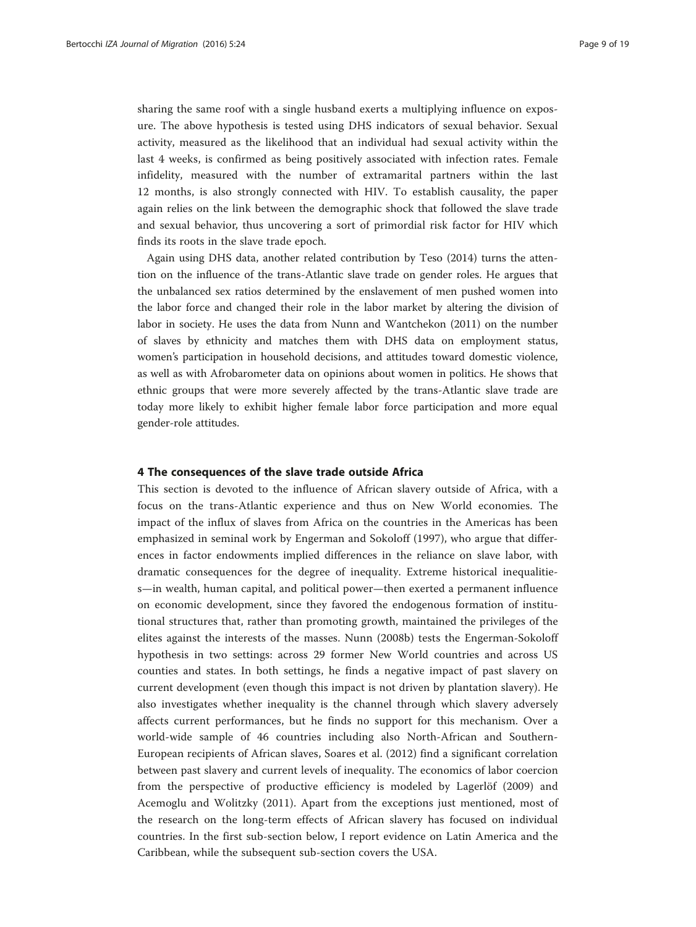<span id="page-8-0"></span>sharing the same roof with a single husband exerts a multiplying influence on exposure. The above hypothesis is tested using DHS indicators of sexual behavior. Sexual activity, measured as the likelihood that an individual had sexual activity within the last 4 weeks, is confirmed as being positively associated with infection rates. Female infidelity, measured with the number of extramarital partners within the last 12 months, is also strongly connected with HIV. To establish causality, the paper again relies on the link between the demographic shock that followed the slave trade and sexual behavior, thus uncovering a sort of primordial risk factor for HIV which finds its roots in the slave trade epoch.

Again using DHS data, another related contribution by Teso ([2014](#page-17-0)) turns the attention on the influence of the trans-Atlantic slave trade on gender roles. He argues that the unbalanced sex ratios determined by the enslavement of men pushed women into the labor force and changed their role in the labor market by altering the division of labor in society. He uses the data from Nunn and Wantchekon ([2011](#page-17-0)) on the number of slaves by ethnicity and matches them with DHS data on employment status, women's participation in household decisions, and attitudes toward domestic violence, as well as with Afrobarometer data on opinions about women in politics. He shows that ethnic groups that were more severely affected by the trans-Atlantic slave trade are today more likely to exhibit higher female labor force participation and more equal gender-role attitudes.

#### 4 The consequences of the slave trade outside Africa

This section is devoted to the influence of African slavery outside of Africa, with a focus on the trans-Atlantic experience and thus on New World economies. The impact of the influx of slaves from Africa on the countries in the Americas has been emphasized in seminal work by Engerman and Sokoloff [\(1997](#page-17-0)), who argue that differences in factor endowments implied differences in the reliance on slave labor, with dramatic consequences for the degree of inequality. Extreme historical inequalities—in wealth, human capital, and political power—then exerted a permanent influence on economic development, since they favored the endogenous formation of institutional structures that, rather than promoting growth, maintained the privileges of the elites against the interests of the masses. Nunn ([2008b](#page-17-0)) tests the Engerman-Sokoloff hypothesis in two settings: across 29 former New World countries and across US counties and states. In both settings, he finds a negative impact of past slavery on current development (even though this impact is not driven by plantation slavery). He also investigates whether inequality is the channel through which slavery adversely affects current performances, but he finds no support for this mechanism. Over a world-wide sample of 46 countries including also North-African and Southern-European recipients of African slaves, Soares et al. ([2012\)](#page-17-0) find a significant correlation between past slavery and current levels of inequality. The economics of labor coercion from the perspective of productive efficiency is modeled by Lagerlöf ([2009\)](#page-17-0) and Acemoglu and Wolitzky [\(2011](#page-16-0)). Apart from the exceptions just mentioned, most of the research on the long-term effects of African slavery has focused on individual countries. In the first sub-section below, I report evidence on Latin America and the Caribbean, while the subsequent sub-section covers the USA.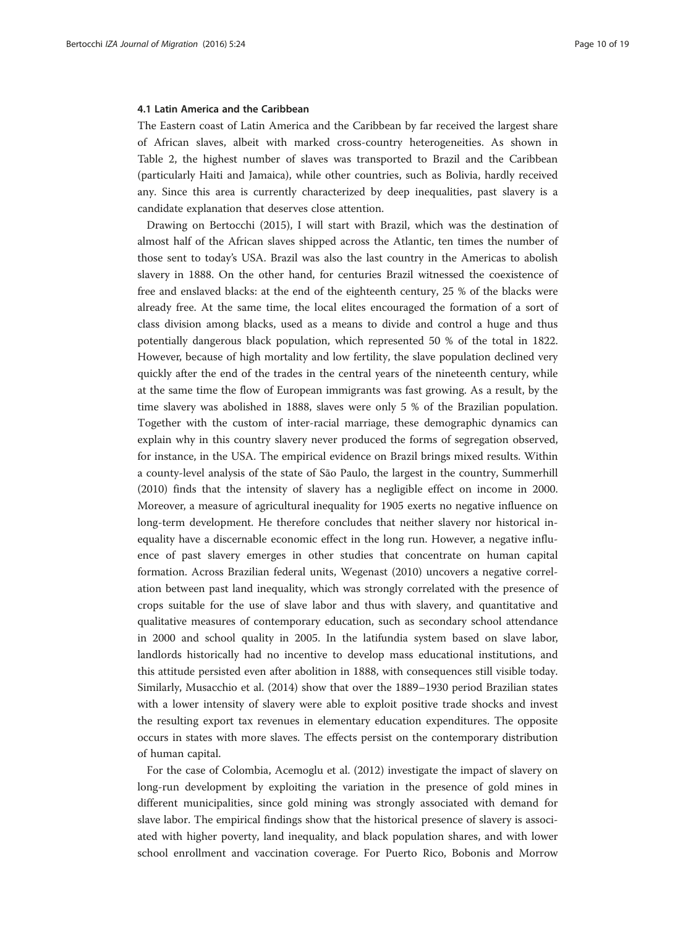#### 4.1 Latin America and the Caribbean

The Eastern coast of Latin America and the Caribbean by far received the largest share of African slaves, albeit with marked cross-country heterogeneities. As shown in Table [2](#page-3-0), the highest number of slaves was transported to Brazil and the Caribbean (particularly Haiti and Jamaica), while other countries, such as Bolivia, hardly received any. Since this area is currently characterized by deep inequalities, past slavery is a candidate explanation that deserves close attention.

Drawing on Bertocchi ([2015](#page-16-0)), I will start with Brazil, which was the destination of almost half of the African slaves shipped across the Atlantic, ten times the number of those sent to today's USA. Brazil was also the last country in the Americas to abolish slavery in 1888. On the other hand, for centuries Brazil witnessed the coexistence of free and enslaved blacks: at the end of the eighteenth century, 25 % of the blacks were already free. At the same time, the local elites encouraged the formation of a sort of class division among blacks, used as a means to divide and control a huge and thus potentially dangerous black population, which represented 50 % of the total in 1822. However, because of high mortality and low fertility, the slave population declined very quickly after the end of the trades in the central years of the nineteenth century, while at the same time the flow of European immigrants was fast growing. As a result, by the time slavery was abolished in 1888, slaves were only 5 % of the Brazilian population. Together with the custom of inter-racial marriage, these demographic dynamics can explain why in this country slavery never produced the forms of segregation observed, for instance, in the USA. The empirical evidence on Brazil brings mixed results. Within a county-level analysis of the state of São Paulo, the largest in the country, Summerhill ([2010](#page-17-0)) finds that the intensity of slavery has a negligible effect on income in 2000. Moreover, a measure of agricultural inequality for 1905 exerts no negative influence on long-term development. He therefore concludes that neither slavery nor historical inequality have a discernable economic effect in the long run. However, a negative influence of past slavery emerges in other studies that concentrate on human capital formation. Across Brazilian federal units, Wegenast ([2010](#page-18-0)) uncovers a negative correlation between past land inequality, which was strongly correlated with the presence of crops suitable for the use of slave labor and thus with slavery, and quantitative and qualitative measures of contemporary education, such as secondary school attendance in 2000 and school quality in 2005. In the latifundia system based on slave labor, landlords historically had no incentive to develop mass educational institutions, and this attitude persisted even after abolition in 1888, with consequences still visible today. Similarly, Musacchio et al. [\(2014\)](#page-17-0) show that over the 1889–1930 period Brazilian states with a lower intensity of slavery were able to exploit positive trade shocks and invest the resulting export tax revenues in elementary education expenditures. The opposite occurs in states with more slaves. The effects persist on the contemporary distribution of human capital.

For the case of Colombia, Acemoglu et al. [\(2012\)](#page-16-0) investigate the impact of slavery on long-run development by exploiting the variation in the presence of gold mines in different municipalities, since gold mining was strongly associated with demand for slave labor. The empirical findings show that the historical presence of slavery is associated with higher poverty, land inequality, and black population shares, and with lower school enrollment and vaccination coverage. For Puerto Rico, Bobonis and Morrow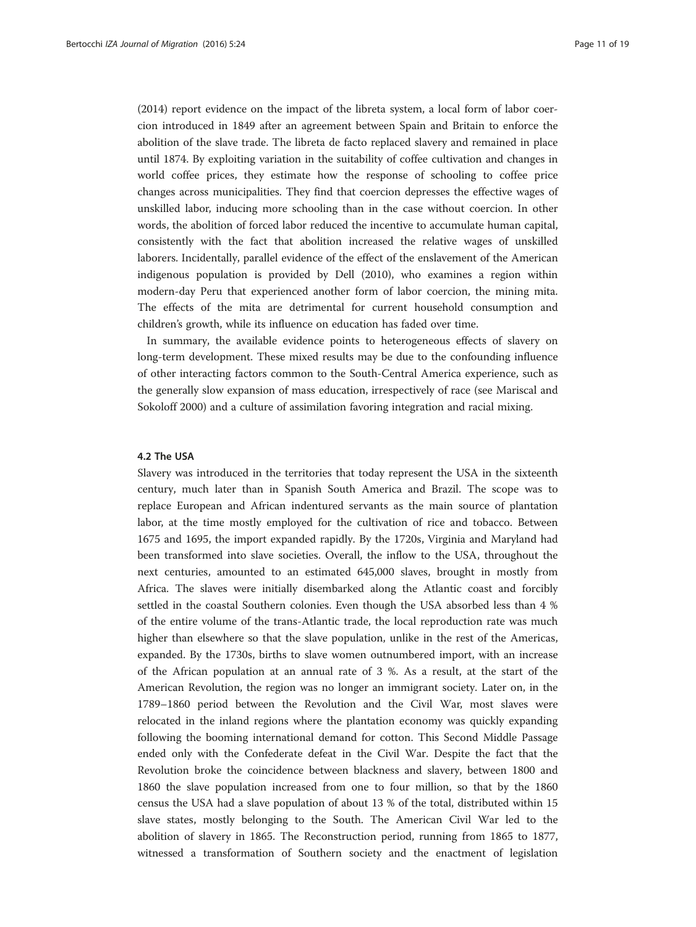([2014](#page-16-0)) report evidence on the impact of the libreta system, a local form of labor coercion introduced in 1849 after an agreement between Spain and Britain to enforce the abolition of the slave trade. The libreta de facto replaced slavery and remained in place until 1874. By exploiting variation in the suitability of coffee cultivation and changes in world coffee prices, they estimate how the response of schooling to coffee price changes across municipalities. They find that coercion depresses the effective wages of unskilled labor, inducing more schooling than in the case without coercion. In other words, the abolition of forced labor reduced the incentive to accumulate human capital, consistently with the fact that abolition increased the relative wages of unskilled laborers. Incidentally, parallel evidence of the effect of the enslavement of the American indigenous population is provided by Dell [\(2010](#page-16-0)), who examines a region within modern-day Peru that experienced another form of labor coercion, the mining mita. The effects of the mita are detrimental for current household consumption and children's growth, while its influence on education has faded over time.

In summary, the available evidence points to heterogeneous effects of slavery on long-term development. These mixed results may be due to the confounding influence of other interacting factors common to the South-Central America experience, such as the generally slow expansion of mass education, irrespectively of race (see Mariscal and Sokoloff [2000\)](#page-17-0) and a culture of assimilation favoring integration and racial mixing.

#### 4.2 The USA

Slavery was introduced in the territories that today represent the USA in the sixteenth century, much later than in Spanish South America and Brazil. The scope was to replace European and African indentured servants as the main source of plantation labor, at the time mostly employed for the cultivation of rice and tobacco. Between 1675 and 1695, the import expanded rapidly. By the 1720s, Virginia and Maryland had been transformed into slave societies. Overall, the inflow to the USA, throughout the next centuries, amounted to an estimated 645,000 slaves, brought in mostly from Africa. The slaves were initially disembarked along the Atlantic coast and forcibly settled in the coastal Southern colonies. Even though the USA absorbed less than 4 % of the entire volume of the trans-Atlantic trade, the local reproduction rate was much higher than elsewhere so that the slave population, unlike in the rest of the Americas, expanded. By the 1730s, births to slave women outnumbered import, with an increase of the African population at an annual rate of 3 %. As a result, at the start of the American Revolution, the region was no longer an immigrant society. Later on, in the 1789–1860 period between the Revolution and the Civil War, most slaves were relocated in the inland regions where the plantation economy was quickly expanding following the booming international demand for cotton. This Second Middle Passage ended only with the Confederate defeat in the Civil War. Despite the fact that the Revolution broke the coincidence between blackness and slavery, between 1800 and 1860 the slave population increased from one to four million, so that by the 1860 census the USA had a slave population of about 13 % of the total, distributed within 15 slave states, mostly belonging to the South. The American Civil War led to the abolition of slavery in 1865. The Reconstruction period, running from 1865 to 1877, witnessed a transformation of Southern society and the enactment of legislation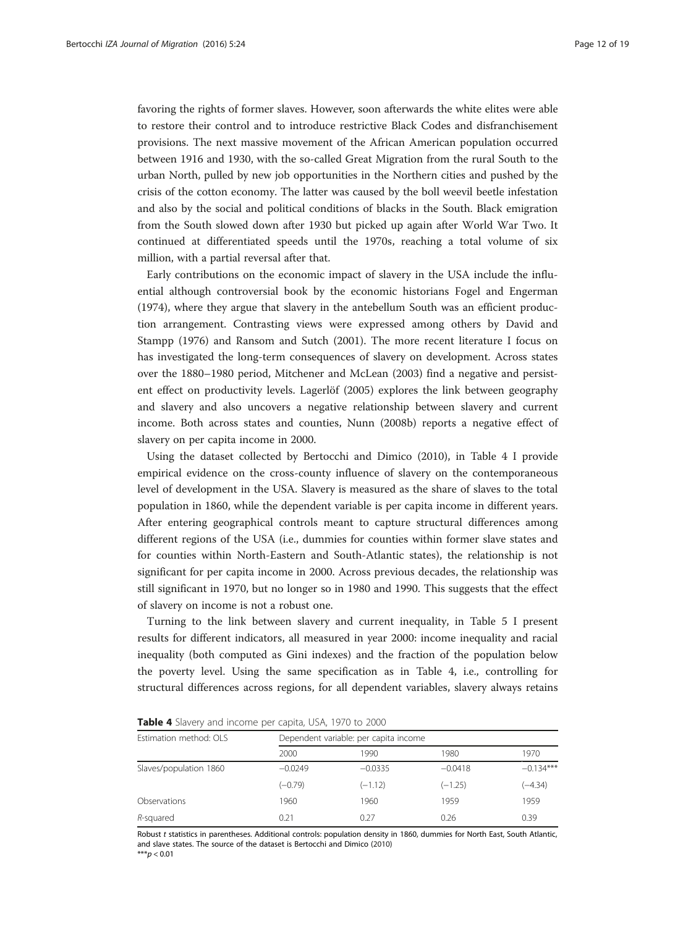favoring the rights of former slaves. However, soon afterwards the white elites were able to restore their control and to introduce restrictive Black Codes and disfranchisement provisions. The next massive movement of the African American population occurred between 1916 and 1930, with the so-called Great Migration from the rural South to the urban North, pulled by new job opportunities in the Northern cities and pushed by the crisis of the cotton economy. The latter was caused by the boll weevil beetle infestation and also by the social and political conditions of blacks in the South. Black emigration from the South slowed down after 1930 but picked up again after World War Two. It continued at differentiated speeds until the 1970s, reaching a total volume of six million, with a partial reversal after that.

Early contributions on the economic impact of slavery in the USA include the influential although controversial book by the economic historians Fogel and Engerman ([1974](#page-17-0)), where they argue that slavery in the antebellum South was an efficient production arrangement. Contrasting views were expressed among others by David and Stampp [\(1976\)](#page-16-0) and Ransom and Sutch ([2001](#page-17-0)). The more recent literature I focus on has investigated the long-term consequences of slavery on development. Across states over the 1880–1980 period, Mitchener and McLean [\(2003\)](#page-17-0) find a negative and persistent effect on productivity levels. Lagerlöf [\(2005\)](#page-17-0) explores the link between geography and slavery and also uncovers a negative relationship between slavery and current income. Both across states and counties, Nunn ([2008b](#page-17-0)) reports a negative effect of slavery on per capita income in 2000.

Using the dataset collected by Bertocchi and Dimico ([2010](#page-16-0)), in Table 4 I provide empirical evidence on the cross-county influence of slavery on the contemporaneous level of development in the USA. Slavery is measured as the share of slaves to the total population in 1860, while the dependent variable is per capita income in different years. After entering geographical controls meant to capture structural differences among different regions of the USA (i.e., dummies for counties within former slave states and for counties within North-Eastern and South-Atlantic states), the relationship is not significant for per capita income in 2000. Across previous decades, the relationship was still significant in 1970, but no longer so in 1980 and 1990. This suggests that the effect of slavery on income is not a robust one.

Turning to the link between slavery and current inequality, in Table [5](#page-12-0) I present results for different indicators, all measured in year 2000: income inequality and racial inequality (both computed as Gini indexes) and the fraction of the population below the poverty level. Using the same specification as in Table 4, i.e., controlling for structural differences across regions, for all dependent variables, slavery always retains

| Estimation method: OLS | Dependent variable: per capita income |           |           |             |  |  |  |
|------------------------|---------------------------------------|-----------|-----------|-------------|--|--|--|
|                        | 2000                                  | 1990      | 1980      | 1970        |  |  |  |
| Slaves/population 1860 | $-0.0249$                             | $-0.0335$ | $-0.0418$ | $-0.134***$ |  |  |  |
|                        | $(-0.79)$                             | $(-1.12)$ | $(-1.25)$ | $(-4.34)$   |  |  |  |
| Observations           | 1960                                  | 1960      | 1959      | 1959        |  |  |  |
| R-squared              | 0.21                                  | 0.27      | 0.26      | 0.39        |  |  |  |

Table 4 Slavery and income per capita, USA, 1970 to 2000

Robust t statistics in parentheses. Additional controls: population density in 1860, dummies for North East, South Atlantic, and slave states. The source of the dataset is Bertocchi and Dimico ([2010\)](#page-16-0)

 $***p < 0.01$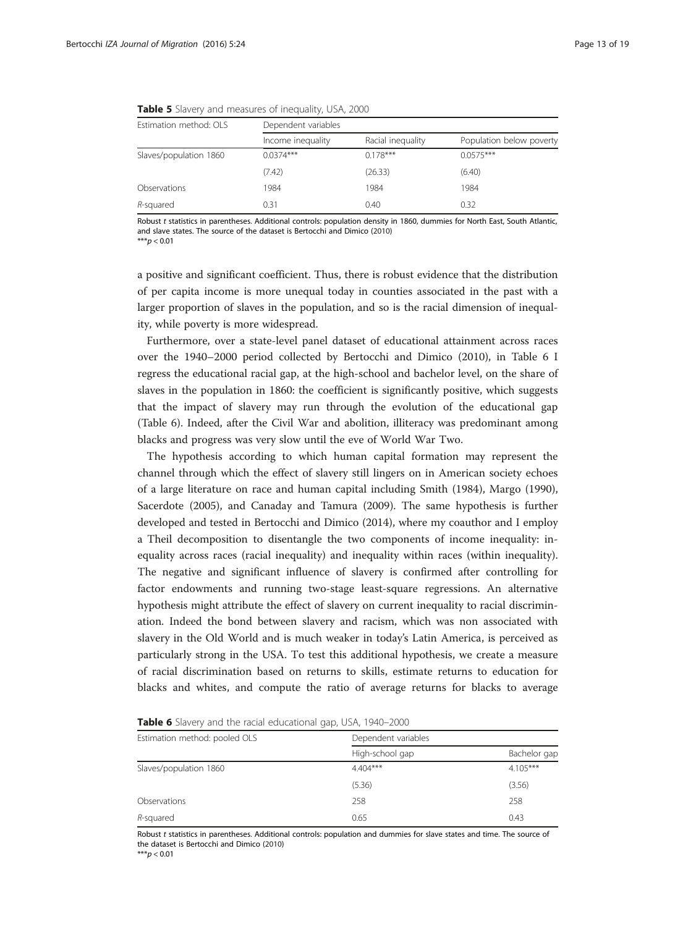| Estimation method: OLS | Dependent variables |                   |                          |  |  |  |
|------------------------|---------------------|-------------------|--------------------------|--|--|--|
|                        | Income inequality   | Racial inequality | Population below poverty |  |  |  |
| Slaves/population 1860 | $0.0374***$         | $0.178***$        | $0.0575***$              |  |  |  |
|                        | (7.42)              | (26.33)           | (6.40)                   |  |  |  |
| Observations           | 1984                | 1984              | 1984                     |  |  |  |
| R-squared              | 0.31                | 0.40              | 0.32                     |  |  |  |

<span id="page-12-0"></span>Table 5 Slavery and measures of inequality, USA, 2000

Robust t statistics in parentheses. Additional controls: population density in 1860, dummies for North East, South Atlantic, and slave states. The source of the dataset is Bertocchi and Dimico ([2010\)](#page-16-0)

 $***p < 0.01$ 

a positive and significant coefficient. Thus, there is robust evidence that the distribution of per capita income is more unequal today in counties associated in the past with a larger proportion of slaves in the population, and so is the racial dimension of inequality, while poverty is more widespread.

Furthermore, over a state-level panel dataset of educational attainment across races over the 1940–2000 period collected by Bertocchi and Dimico [\(2010\)](#page-16-0), in Table 6 I regress the educational racial gap, at the high-school and bachelor level, on the share of slaves in the population in 1860: the coefficient is significantly positive, which suggests that the impact of slavery may run through the evolution of the educational gap (Table 6). Indeed, after the Civil War and abolition, illiteracy was predominant among blacks and progress was very slow until the eve of World War Two.

The hypothesis according to which human capital formation may represent the channel through which the effect of slavery still lingers on in American society echoes of a large literature on race and human capital including Smith [\(1984\)](#page-17-0), Margo ([1990](#page-17-0)), Sacerdote [\(2005\)](#page-17-0), and Canaday and Tamura ([2009\)](#page-16-0). The same hypothesis is further developed and tested in Bertocchi and Dimico [\(2014\)](#page-16-0), where my coauthor and I employ a Theil decomposition to disentangle the two components of income inequality: inequality across races (racial inequality) and inequality within races (within inequality). The negative and significant influence of slavery is confirmed after controlling for factor endowments and running two-stage least-square regressions. An alternative hypothesis might attribute the effect of slavery on current inequality to racial discrimination. Indeed the bond between slavery and racism, which was non associated with slavery in the Old World and is much weaker in today's Latin America, is perceived as particularly strong in the USA. To test this additional hypothesis, we create a measure of racial discrimination based on returns to skills, estimate returns to education for blacks and whites, and compute the ratio of average returns for blacks to average

| Estimation method: pooled OLS | Dependent variables |              |  |  |
|-------------------------------|---------------------|--------------|--|--|
|                               | High-school gap     | Bachelor gap |  |  |
| Slaves/population 1860        | $4.404***$          | $4.105***$   |  |  |
|                               | (5.36)              | (3.56)       |  |  |
| Observations                  | 258                 | 258          |  |  |
| R-squared                     | 0.65                | 0.43         |  |  |

Table 6 Slavery and the racial educational gap, USA, 1940-2000

Robust t statistics in parentheses. Additional controls: population and dummies for slave states and time. The source of the dataset is Bertocchi and Dimico ([2010](#page-16-0))

 $***p < 0.01$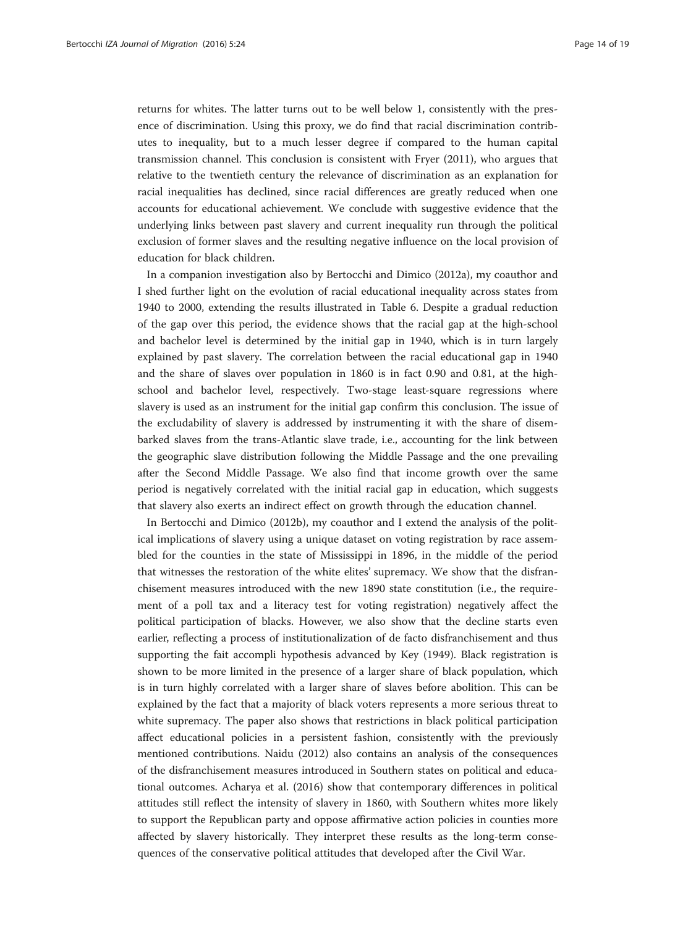returns for whites. The latter turns out to be well below 1, consistently with the presence of discrimination. Using this proxy, we do find that racial discrimination contributes to inequality, but to a much lesser degree if compared to the human capital transmission channel. This conclusion is consistent with Fryer ([2011](#page-17-0)), who argues that relative to the twentieth century the relevance of discrimination as an explanation for racial inequalities has declined, since racial differences are greatly reduced when one accounts for educational achievement. We conclude with suggestive evidence that the underlying links between past slavery and current inequality run through the political exclusion of former slaves and the resulting negative influence on the local provision of education for black children.

In a companion investigation also by Bertocchi and Dimico [\(2012a](#page-16-0)), my coauthor and I shed further light on the evolution of racial educational inequality across states from 1940 to 2000, extending the results illustrated in Table [6](#page-12-0). Despite a gradual reduction of the gap over this period, the evidence shows that the racial gap at the high-school and bachelor level is determined by the initial gap in 1940, which is in turn largely explained by past slavery. The correlation between the racial educational gap in 1940 and the share of slaves over population in 1860 is in fact 0.90 and 0.81, at the highschool and bachelor level, respectively. Two-stage least-square regressions where slavery is used as an instrument for the initial gap confirm this conclusion. The issue of the excludability of slavery is addressed by instrumenting it with the share of disembarked slaves from the trans-Atlantic slave trade, i.e., accounting for the link between the geographic slave distribution following the Middle Passage and the one prevailing after the Second Middle Passage. We also find that income growth over the same period is negatively correlated with the initial racial gap in education, which suggests that slavery also exerts an indirect effect on growth through the education channel.

In Bertocchi and Dimico [\(2012b\)](#page-16-0), my coauthor and I extend the analysis of the political implications of slavery using a unique dataset on voting registration by race assembled for the counties in the state of Mississippi in 1896, in the middle of the period that witnesses the restoration of the white elites' supremacy. We show that the disfranchisement measures introduced with the new 1890 state constitution (i.e., the requirement of a poll tax and a literacy test for voting registration) negatively affect the political participation of blacks. However, we also show that the decline starts even earlier, reflecting a process of institutionalization of de facto disfranchisement and thus supporting the fait accompli hypothesis advanced by Key ([1949](#page-17-0)). Black registration is shown to be more limited in the presence of a larger share of black population, which is in turn highly correlated with a larger share of slaves before abolition. This can be explained by the fact that a majority of black voters represents a more serious threat to white supremacy. The paper also shows that restrictions in black political participation affect educational policies in a persistent fashion, consistently with the previously mentioned contributions. Naidu ([2012](#page-17-0)) also contains an analysis of the consequences of the disfranchisement measures introduced in Southern states on political and educational outcomes. Acharya et al. [\(2016\)](#page-16-0) show that contemporary differences in political attitudes still reflect the intensity of slavery in 1860, with Southern whites more likely to support the Republican party and oppose affirmative action policies in counties more affected by slavery historically. They interpret these results as the long-term consequences of the conservative political attitudes that developed after the Civil War.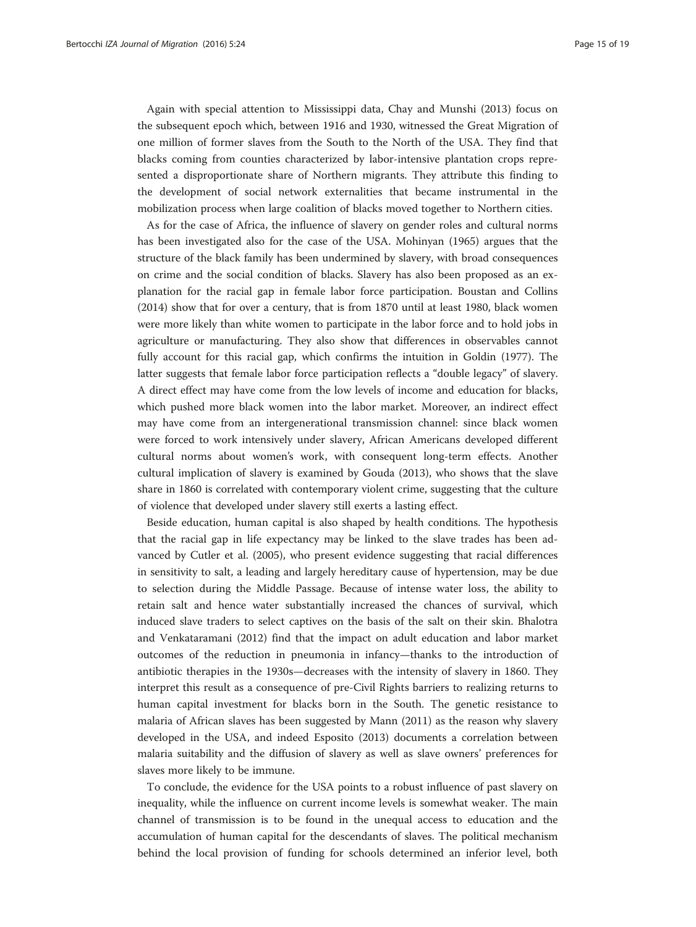Again with special attention to Mississippi data, Chay and Munshi ([2013](#page-16-0)) focus on the subsequent epoch which, between 1916 and 1930, witnessed the Great Migration of one million of former slaves from the South to the North of the USA. They find that blacks coming from counties characterized by labor-intensive plantation crops represented a disproportionate share of Northern migrants. They attribute this finding to the development of social network externalities that became instrumental in the mobilization process when large coalition of blacks moved together to Northern cities.

As for the case of Africa, the influence of slavery on gender roles and cultural norms has been investigated also for the case of the USA. Mohinyan ([1965](#page-17-0)) argues that the structure of the black family has been undermined by slavery, with broad consequences on crime and the social condition of blacks. Slavery has also been proposed as an explanation for the racial gap in female labor force participation. Boustan and Collins ([2014](#page-16-0)) show that for over a century, that is from 1870 until at least 1980, black women were more likely than white women to participate in the labor force and to hold jobs in agriculture or manufacturing. They also show that differences in observables cannot fully account for this racial gap, which confirms the intuition in Goldin [\(1977\)](#page-17-0). The latter suggests that female labor force participation reflects a "double legacy" of slavery. A direct effect may have come from the low levels of income and education for blacks, which pushed more black women into the labor market. Moreover, an indirect effect may have come from an intergenerational transmission channel: since black women were forced to work intensively under slavery, African Americans developed different cultural norms about women's work, with consequent long-term effects. Another cultural implication of slavery is examined by Gouda ([2013](#page-17-0)), who shows that the slave share in 1860 is correlated with contemporary violent crime, suggesting that the culture of violence that developed under slavery still exerts a lasting effect.

Beside education, human capital is also shaped by health conditions. The hypothesis that the racial gap in life expectancy may be linked to the slave trades has been advanced by Cutler et al. ([2005](#page-16-0)), who present evidence suggesting that racial differences in sensitivity to salt, a leading and largely hereditary cause of hypertension, may be due to selection during the Middle Passage. Because of intense water loss, the ability to retain salt and hence water substantially increased the chances of survival, which induced slave traders to select captives on the basis of the salt on their skin. Bhalotra and Venkataramani ([2012\)](#page-16-0) find that the impact on adult education and labor market outcomes of the reduction in pneumonia in infancy—thanks to the introduction of antibiotic therapies in the 1930s—decreases with the intensity of slavery in 1860. They interpret this result as a consequence of pre-Civil Rights barriers to realizing returns to human capital investment for blacks born in the South. The genetic resistance to malaria of African slaves has been suggested by Mann ([2011\)](#page-17-0) as the reason why slavery developed in the USA, and indeed Esposito [\(2013\)](#page-17-0) documents a correlation between malaria suitability and the diffusion of slavery as well as slave owners' preferences for slaves more likely to be immune.

To conclude, the evidence for the USA points to a robust influence of past slavery on inequality, while the influence on current income levels is somewhat weaker. The main channel of transmission is to be found in the unequal access to education and the accumulation of human capital for the descendants of slaves. The political mechanism behind the local provision of funding for schools determined an inferior level, both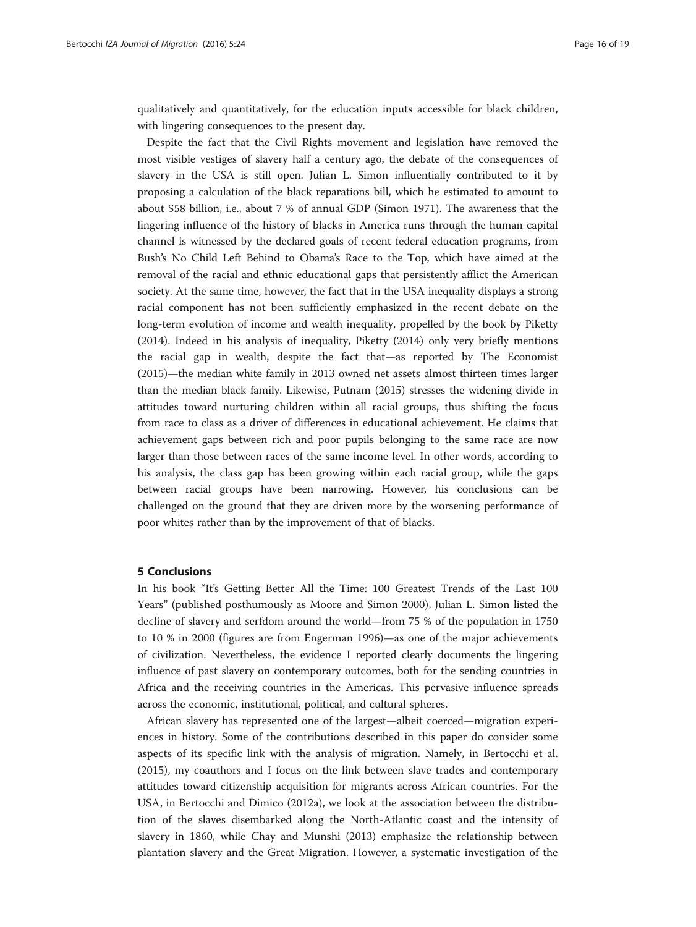<span id="page-15-0"></span>qualitatively and quantitatively, for the education inputs accessible for black children, with lingering consequences to the present day.

Despite the fact that the Civil Rights movement and legislation have removed the most visible vestiges of slavery half a century ago, the debate of the consequences of slavery in the USA is still open. Julian L. Simon influentially contributed to it by proposing a calculation of the black reparations bill, which he estimated to amount to about \$58 billion, i.e., about 7 % of annual GDP (Simon [1971\)](#page-17-0). The awareness that the lingering influence of the history of blacks in America runs through the human capital channel is witnessed by the declared goals of recent federal education programs, from Bush's No Child Left Behind to Obama's Race to the Top, which have aimed at the removal of the racial and ethnic educational gaps that persistently afflict the American society. At the same time, however, the fact that in the USA inequality displays a strong racial component has not been sufficiently emphasized in the recent debate on the long-term evolution of income and wealth inequality, propelled by the book by Piketty ([2014](#page-17-0)). Indeed in his analysis of inequality, Piketty ([2014](#page-17-0)) only very briefly mentions the racial gap in wealth, despite the fact that—as reported by The Economist ([2015](#page-18-0))—the median white family in 2013 owned net assets almost thirteen times larger than the median black family. Likewise, Putnam [\(2015\)](#page-17-0) stresses the widening divide in attitudes toward nurturing children within all racial groups, thus shifting the focus from race to class as a driver of differences in educational achievement. He claims that achievement gaps between rich and poor pupils belonging to the same race are now larger than those between races of the same income level. In other words, according to his analysis, the class gap has been growing within each racial group, while the gaps between racial groups have been narrowing. However, his conclusions can be challenged on the ground that they are driven more by the worsening performance of poor whites rather than by the improvement of that of blacks.

#### 5 Conclusions

In his book "It's Getting Better All the Time: 100 Greatest Trends of the Last 100 Years" (published posthumously as Moore and Simon [2000\)](#page-17-0), Julian L. Simon listed the decline of slavery and serfdom around the world—from 75 % of the population in 1750 to 10 % in 2000 (figures are from Engerman [1996](#page-17-0))—as one of the major achievements of civilization. Nevertheless, the evidence I reported clearly documents the lingering influence of past slavery on contemporary outcomes, both for the sending countries in Africa and the receiving countries in the Americas. This pervasive influence spreads across the economic, institutional, political, and cultural spheres.

African slavery has represented one of the largest—albeit coerced—migration experiences in history. Some of the contributions described in this paper do consider some aspects of its specific link with the analysis of migration. Namely, in Bertocchi et al. ([2015](#page-16-0)), my coauthors and I focus on the link between slave trades and contemporary attitudes toward citizenship acquisition for migrants across African countries. For the USA, in Bertocchi and Dimico ([2012a\)](#page-16-0), we look at the association between the distribution of the slaves disembarked along the North-Atlantic coast and the intensity of slavery in 1860, while Chay and Munshi [\(2013\)](#page-16-0) emphasize the relationship between plantation slavery and the Great Migration. However, a systematic investigation of the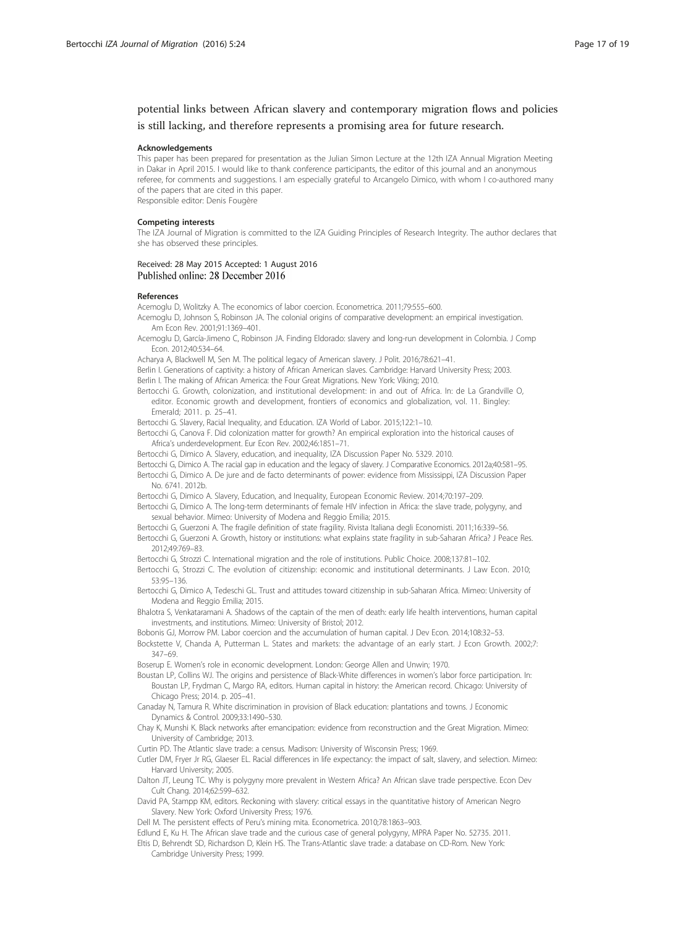<span id="page-16-0"></span>potential links between African slavery and contemporary migration flows and policies is still lacking, and therefore represents a promising area for future research.

#### Acknowledgements

This paper has been prepared for presentation as the Julian Simon Lecture at the 12th IZA Annual Migration Meeting in Dakar in April 2015. I would like to thank conference participants, the editor of this journal and an anonymous referee, for comments and suggestions. I am especially grateful to Arcangelo Dimico, with whom I co-authored many of the papers that are cited in this paper. Responsible editor: Denis Fougère

#### Competing interests

The IZA Journal of Migration is committed to the IZA Guiding Principles of Research Integrity. The author declares that she has observed these principles.

# Received: 28 May 2015 Accepted: 1 August 2016

#### References

Acemoglu D, Wolitzky A. The economics of labor coercion. Econometrica. 2011;79:555–600. Acemoglu D, Johnson S, Robinson JA. The colonial origins of comparative development: an empirical investigation. Am Econ Rev. 2001;91:1369–401.

Acemoglu D, García-Jimeno C, Robinson JA. Finding Eldorado: slavery and long-run development in Colombia. J Comp Econ. 2012;40:534–64.

Acharya A, Blackwell M, Sen M. The political legacy of American slavery. J Polit. 2016;78:621–41. Berlin I. Generations of captivity: a history of African American slaves. Cambridge: Harvard University Press; 2003.

Berlin I. The making of African America: the Four Great Migrations. New York: Viking; 2010.

Bertocchi G. Growth, colonization, and institutional development: in and out of Africa. In: de La Grandville O, editor. Economic growth and development, frontiers of economics and globalization, vol. 11. Bingley: Emerald; 2011. p. 25–41.

Bertocchi G. Slavery, Racial Inequality, and Education. IZA World of Labor. 2015;122:1–10.

Bertocchi G, Canova F. Did colonization matter for growth? An empirical exploration into the historical causes of Africa's underdevelopment. Eur Econ Rev. 2002;46:1851–71.

Bertocchi G, Dimico A. Slavery, education, and inequality, IZA Discussion Paper No. 5329. 2010.

- Bertocchi G, Dimico A. The racial gap in education and the legacy of slavery. J Comparative Economics. 2012a;40:581–95.
- Bertocchi G, Dimico A. De jure and de facto determinants of power: evidence from Mississippi, IZA Discussion Paper No. 6741. 2012b.
- Bertocchi G, Dimico A. Slavery, Education, and Inequality, European Economic Review. 2014;70:197–209.
- Bertocchi G, Dimico A. The long-term determinants of female HIV infection in Africa: the slave trade, polygyny, and sexual behavior. Mimeo: University of Modena and Reggio Emilia: 2015.
- Bertocchi G, Guerzoni A. The fragile definition of state fragility. Rivista Italiana degli Economisti. 2011;16:339–56.
- Bertocchi G, Guerzoni A. Growth, history or institutions: what explains state fragility in sub-Saharan Africa? J Peace Res. 2012;49:769–83.
- Bertocchi G, Strozzi C. International migration and the role of institutions. Public Choice. 2008;137:81–102.
- Bertocchi G, Strozzi C. The evolution of citizenship: economic and institutional determinants. J Law Econ. 2010; 53:95–136.
- Bertocchi G, Dimico A, Tedeschi GL. Trust and attitudes toward citizenship in sub-Saharan Africa. Mimeo: University of Modena and Reggio Emilia; 2015.

Bhalotra S, Venkataramani A. Shadows of the captain of the men of death: early life health interventions, human capital investments, and institutions. Mimeo: University of Bristol; 2012.

- Bobonis GJ, Morrow PM. Labor coercion and the accumulation of human capital. J Dev Econ. 2014;108:32–53.
- Bockstette V, Chanda A, Putterman L. States and markets: the advantage of an early start. J Econ Growth. 2002;7: 347–69.
- Boserup E. Women's role in economic development. London: George Allen and Unwin; 1970.
- Boustan LP, Collins WJ. The origins and persistence of Black-White differences in women's labor force participation. In: Boustan LP, Frydman C, Margo RA, editors. Human capital in history: the American record. Chicago: University of Chicago Press; 2014. p. 205–41.
- Canaday N, Tamura R. White discrimination in provision of Black education: plantations and towns. J Economic Dynamics & Control. 2009;33:1490–530.
- Chay K, Munshi K. Black networks after emancipation: evidence from reconstruction and the Great Migration. Mimeo: University of Cambridge; 2013.
- Curtin PD. The Atlantic slave trade: a census. Madison: University of Wisconsin Press; 1969.
- Cutler DM, Fryer Jr RG, Glaeser EL. Racial differences in life expectancy: the impact of salt, slavery, and selection. Mimeo: Harvard University; 2005.
- Dalton JT, Leung TC. Why is polygyny more prevalent in Western Africa? An African slave trade perspective. Econ Dev Cult Chang. 2014;62:599–632.
- David PA, Stampp KM, editors. Reckoning with slavery: critical essays in the quantitative history of American Negro Slavery. New York: Oxford University Press; 1976.
- Dell M. The persistent effects of Peru's mining mita. Econometrica. 2010;78:1863–903.

Edlund E, Ku H. The African slave trade and the curious case of general polygyny, MPRA Paper No. 52735. 2011.

Eltis D, Behrendt SD, Richardson D, Klein HS. The Trans-Atlantic slave trade: a database on CD-Rom. New York: Cambridge University Press; 1999.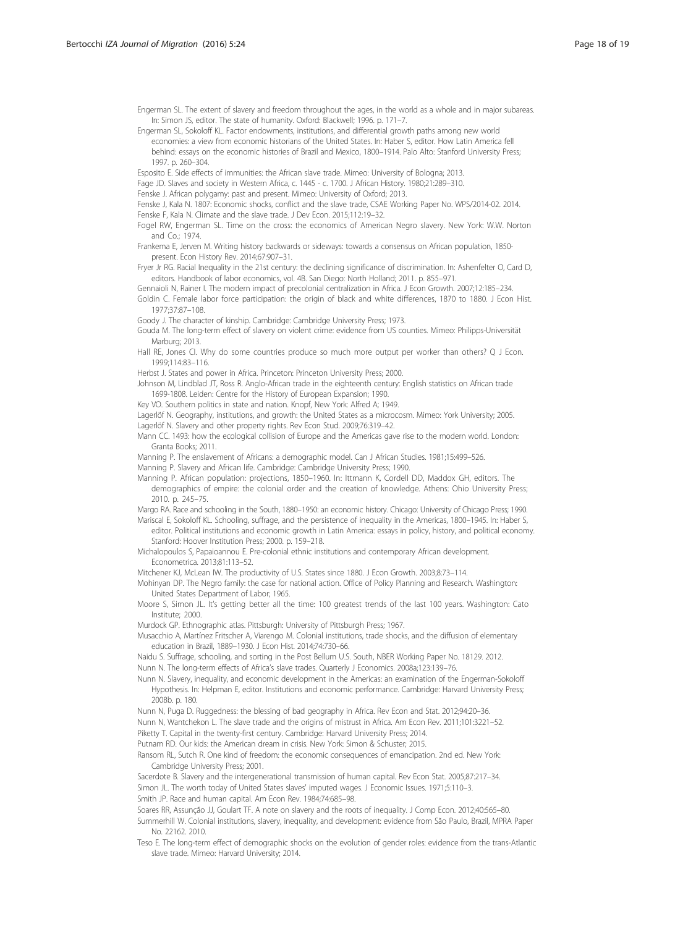<span id="page-17-0"></span>Engerman SL. The extent of slavery and freedom throughout the ages, in the world as a whole and in major subareas. In: Simon JS, editor. The state of humanity. Oxford: Blackwell; 1996. p. 171–7.

- Engerman SL, Sokoloff KL. Factor endowments, institutions, and differential growth paths among new world economies: a view from economic historians of the United States. In: Haber S, editor. How Latin America fell behind: essays on the economic histories of Brazil and Mexico, 1800–1914. Palo Alto: Stanford University Press; 1997. p. 260–304.
- Esposito E. Side effects of immunities: the African slave trade. Mimeo: University of Bologna; 2013.

Fage JD. Slaves and society in Western Africa, c. 1445 - c. 1700. J African History. 1980;21:289–310.

Fenske J. African polygamy: past and present. Mimeo: University of Oxford; 2013.

Fenske J, Kala N. 1807: Economic shocks, conflict and the slave trade, CSAE Working Paper No. WPS/2014-02. 2014. Fenske F, Kala N. Climate and the slave trade. J Dev Econ. 2015;112:19–32.

- Fogel RW, Engerman SL. Time on the cross: the economics of American Negro slavery. New York: W.W. Norton and  $\overline{C_0}$ : 1974.
- Frankema E, Jerven M. Writing history backwards or sideways: towards a consensus on African population, 1850 present. Econ History Rev. 2014;67:907–31.
- Fryer Jr RG. Racial Inequality in the 21st century: the declining significance of discrimination. In: Ashenfelter O, Card D, editors. Handbook of labor economics, vol. 4B. San Diego: North Holland; 2011. p. 855–971.
- Gennaioli N, Rainer I. The modern impact of precolonial centralization in Africa. J Econ Growth. 2007;12:185–234.
- Goldin C. Female labor force participation: the origin of black and white differences, 1870 to 1880. J Econ Hist. 1977;37:87–108.
- Goody J. The character of kinship. Cambridge: Cambridge University Press; 1973.
- Gouda M. The long-term effect of slavery on violent crime: evidence from US counties. Mimeo: Philipps-Universität Marburg; 2013.
- Hall RE, Jones CI. Why do some countries produce so much more output per worker than others? Q J Econ. 1999;114:83–116.
- Herbst J. States and power in Africa. Princeton: Princeton University Press; 2000.
- Johnson M, Lindblad JT, Ross R. Anglo-African trade in the eighteenth century: English statistics on African trade 1699-1808. Leiden: Centre for the History of European Expansion; 1990.
- Key VO. Southern politics in state and nation. Knopf, New York: Alfred A; 1949.
- Lagerlöf N. Geography, institutions, and growth: the United States as a microcosm. Mimeo: York University; 2005. Lagerlöf N. Slavery and other property rights. Rev Econ Stud. 2009;76:319–42.
- Mann CC. 1493: how the ecological collision of Europe and the Americas gave rise to the modern world. London: Granta Books; 2011.
- Manning P. The enslavement of Africans: a demographic model. Can J African Studies. 1981;15:499–526.
- Manning P. Slavery and African life. Cambridge: Cambridge University Press; 1990.
- Manning P. African population: projections, 1850–1960. In: Ittmann K, Cordell DD, Maddox GH, editors. The demographics of empire: the colonial order and the creation of knowledge. Athens: Ohio University Press; 2010. p. 245–75.
- Margo RA. Race and schooling in the South, 1880–1950: an economic history. Chicago: University of Chicago Press; 1990. Mariscal E, Sokoloff KL. Schooling, suffrage, and the persistence of inequality in the Americas, 1800–1945. In: Haber S,
	- editor. Political institutions and economic growth in Latin America: essays in policy, history, and political economy. Stanford: Hoover Institution Press; 2000. p. 159–218.
- Michalopoulos S, Papaioannou E. Pre-colonial ethnic institutions and contemporary African development. Econometrica. 2013;81:113–52.
- Mitchener KJ, McLean IW. The productivity of U.S. States since 1880. J Econ Growth. 2003;8:73–114.
- Mohinyan DP. The Negro family: the case for national action. Office of Policy Planning and Research. Washington: United States Department of Labor; 1965.
- Moore S, Simon JL. It's getting better all the time: 100 greatest trends of the last 100 years. Washington: Cato Institute; 2000.
- Murdock GP. Ethnographic atlas. Pittsburgh: University of Pittsburgh Press; 1967.
- Musacchio A, Martínez Fritscher A, Viarengo M. Colonial institutions, trade shocks, and the diffusion of elementary education in Brazil, 1889–1930. J Econ Hist. 2014;74:730–66.
- Naidu S. Suffrage, schooling, and sorting in the Post Bellum U.S. South, NBER Working Paper No. 18129. 2012. Nunn N. The long-term effects of Africa's slave trades. Quarterly J Economics. 2008a;123:139–76.
- Nunn N. Slavery, inequality, and economic development in the Americas: an examination of the Engerman-Sokoloff Hypothesis. In: Helpman E, editor. Institutions and economic performance. Cambridge: Harvard University Press; 2008b. p. 180.
- Nunn N, Puga D. Ruggedness: the blessing of bad geography in Africa. Rev Econ and Stat. 2012;94:20–36.
- Nunn N, Wantchekon L. The slave trade and the origins of mistrust in Africa. Am Econ Rev. 2011;101:3221–52. Piketty T. Capital in the twenty-first century. Cambridge: Harvard University Press; 2014.
- Putnam RD. Our kids: the American dream in crisis. New York: Simon & Schuster; 2015.

Ransom RL, Sutch R. One kind of freedom: the economic consequences of emancipation. 2nd ed. New York: Cambridge University Press; 2001.

- Sacerdote B. Slavery and the intergenerational transmission of human capital. Rev Econ Stat. 2005;87:217–34. Simon JL. The worth today of United States slaves' imputed wages. J Economic Issues. 1971;5:110–3. Smith JP. Race and human capital. Am Econ Rev. 1984;74:685–98.
- Soares RR, Assunção JJ, Goulart TF. A note on slavery and the roots of inequality. J Comp Econ. 2012;40:565–80. Summerhill W. Colonial institutions, slavery, inequality, and development: evidence from São Paulo, Brazil, MPRA Paper No. 22162. 2010.
- Teso E. The long-term effect of demographic shocks on the evolution of gender roles: evidence from the trans-Atlantic slave trade. Mimeo: Harvard University; 2014.